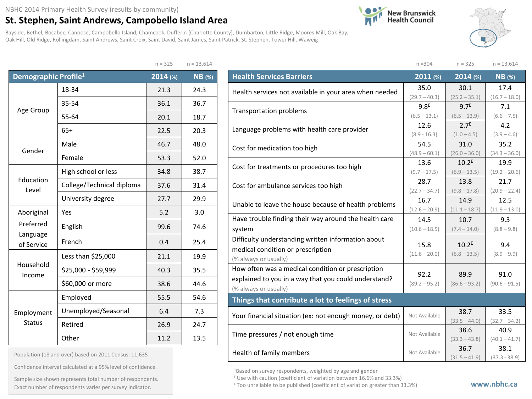## NBHC 2014 Primary Health Survey (results by community)

## **St. Stephen, Saint Andrews, Campobello Island Area**

Bayside, Bethel, Bocabec, Canoose, Campobello Island, Chamcook, Dufferin (Charlotte County), Dumbarton, Little Ridge, Moores Mill, Oak Bay, Oak Hill, Old Ridge, Rollingdam, Saint Andrews, Saint Croix, Saint David, Saint James, Saint Patrick, St. Stephen, Tower Hill, Waweig

 $n = 325$  n = 13,614





|                                  |                           | $11 - 523$ | $11 - 13,014$ |
|----------------------------------|---------------------------|------------|---------------|
| Demographic Profile <sup>1</sup> |                           | 2014 (%)   | <b>NB</b> (%) |
|                                  | 18-34                     | 21.3       | 24.3          |
| Age Group                        | 35-54                     | 36.1       | 36.7          |
|                                  | 55-64                     | 20.1       | 18.7          |
|                                  | $65+$                     | 22.5       | 20.3          |
| Gender                           | Male                      | 46.7       | 48.0          |
|                                  | Female                    | 53.3       | 52.0          |
| Education<br>Level               | High school or less       | 34.8       | 38.7          |
|                                  | College/Technical diploma | 37.6       | 31.4          |
|                                  | University degree         | 27.7       | 29.9          |
| Aboriginal                       | Yes                       | 5.2        | 3.0           |
| Preferred                        | English                   | 99.6       | 74.6          |
| Language<br>of Service           | French                    | 0.4        | 25.4          |
|                                  | Less than \$25,000        | 21.1       | 19.9          |
| Household<br>Income              | \$25,000 - \$59,999       | 40.3       | 35.5          |
|                                  | \$60,000 or more          | 38.6       | 44.6          |
|                                  | Employed                  | 55.5       | 54.6          |
| Employment                       | Unemployed/Seasonal       | 6.4        | 7.3           |
| <b>Status</b>                    | Retired                   | 26.9       | 24.7          |
|                                  | Other                     | 11.2       | 13.5          |

| Population (18 and over) based on 2011 Census: 11,635 |  |  |  |  |  |  |  |  |
|-------------------------------------------------------|--|--|--|--|--|--|--|--|
|-------------------------------------------------------|--|--|--|--|--|--|--|--|

Confidence interval calculated at a 95% level of confidence.

Exact number of respondents varies per survey indicator. **Exact number of respondents varies per survey** indicator. Sample size shown represents total number of respondents.

|                                                          | $n = 304$        | $n = 325$         | $n = 13,614$    |
|----------------------------------------------------------|------------------|-------------------|-----------------|
| <b>Health Services Barriers</b>                          | $2011$ (%)       | 2014 (%)          | <b>NB</b> (%)   |
| Health services not available in your area when needed   | 35.0             | 30.1              | 17.4            |
|                                                          | $(29.7 - 40.3)$  | $(25.2 - 35.1)$   | $(16.7 - 18.0)$ |
| Transportation problems                                  | 9.8 <sup>E</sup> | 9.7 <sup>E</sup>  | 7.1             |
|                                                          | $(6.5 - 13.1)$   | $(6.5 - 12.9)$    | $(6.6 - 7.5)$   |
| Language problems with health care provider              | 12.6             | 2.7 <sup>E</sup>  | 4.2             |
|                                                          | $(8.9 - 16.3)$   | $(1.0 - 4.5)$     | $(3.9 - 4.6)$   |
| Cost for medication too high                             | 54.5             | 31.0              | 35.2            |
|                                                          | $(48.9 - 60.1)$  | $(26.0 - 36.0)$   | $(34.3 - 36.0)$ |
| Cost for treatments or procedures too high               | 13.6             | 10.2 <sup>E</sup> | 19.9            |
|                                                          | $(9.7 - 17.5)$   | $(6.9 - 13.5)$    | $(19.2 - 20.6)$ |
| Cost for ambulance services too high                     | 28.7             | 13.8              | 21.7            |
|                                                          | $(22.7 - 34.7)$  | $(9.8 - 17.8)$    | $(20.9 - 22.4)$ |
| Unable to leave the house because of health problems     | 16.7             | 14.9              | 12.5            |
|                                                          | $(12.6 - 20.9)$  | $(11.1 - 18.7)$   | $(11.9 - 13.0)$ |
| Have trouble finding their way around the health care    | 14.5             | 10.7              | 9.3             |
| system                                                   | $(10.6 - 18.5)$  | $(7.4 - 14.0)$    | $(8.8 - 9.8)$   |
| Difficulty understanding written information about       |                  |                   |                 |
| medical condition or prescription                        | 15.8             | 10.2 <sup>E</sup> | 9.4             |
| (% always or usually)                                    | $(11.6 - 20.0)$  | $(6.8 - 13.5)$    | $(8.9 - 9.9)$   |
| How often was a medical condition or prescription        |                  |                   |                 |
| explained to you in a way that you could understand?     | 92.2             | 89.9              | 91.0            |
| (% always or usually)                                    | $(89.2 - 95.2)$  | $(86.6 - 93.2)$   | $(90.6 - 91.5)$ |
| Things that contribute a lot to feelings of stress       |                  |                   |                 |
|                                                          | Not Available    | 38.7              | 33.5            |
| Your financial situation (ex: not enough money, or debt) |                  | $(33.5 - 44.0)$   | $(32.7 - 34.2)$ |
| Time pressures / not enough time                         | Not Available    | 38.6              | 40.9            |
|                                                          |                  | $(33.3 - 43.8)$   | $(40.1 - 41.7)$ |
| Health of family members                                 | Not Available    | 36.7              | 38.1            |
|                                                          |                  | $(31.5 - 41.9)$   | $(37.3 - 38.9)$ |

1Based on survey respondents, weighted by age and gender

E Use with caution (coefficient of variation between 16.6% and 33.3%)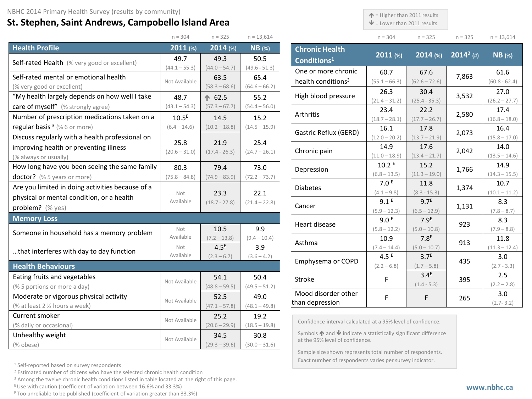## **St. Stephen, Saint Andrews, Campobello Island Area**

 $\uparrow$  = Higher than 2011 results

 $\mathbf{\Psi}$  = Lower than 2011 results

| $n = 304$ | $n = 325$ | $n = 325$ | $n = 13,614$ |
|-----------|-----------|-----------|--------------|

|                                                  | $n = 304$         | $n = 325$        | $n = 13,614$    |
|--------------------------------------------------|-------------------|------------------|-----------------|
| <b>Health Profile</b>                            | 2011(%)           | 2014 (%)         | $NB$ (%)        |
| Self-rated Health (% very good or excellent)     | 49.7              | 49.3             | 50.5            |
|                                                  | $(44.1 - 55.3)$   | $(44.0 - 54.7)$  | $(49.6 - 51.3)$ |
| Self-rated mental or emotional health            | Not Available     | 63.5             | 65.4            |
| (% very good or excellent)                       |                   | $(58.3 - 68.6)$  | $(64.6 - 66.2)$ |
| "My health largely depends on how well I take    | 48.7              | ← 62.5           | 55.2            |
| care of myself" (% strongly agree)               | $(43.1 - 54.3)$   | $(57.3 - 67.7)$  | $(54.4 - 56.0)$ |
| Number of prescription medications taken on a    | 10.5 <sup>E</sup> | 14.5             | 15.2            |
| regular basis <sup>3</sup> (%6 or more)          | $(6.4 - 14.6)$    | $(10.2 - 18.8)$  | $(14.5 - 15.9)$ |
| Discuss regularly with a health professional on  | 25.8              | 21.9             | 25.4            |
| improving health or preventing illness           | $(20.6 - 31.0)$   | $(17.4 - 26.3)$  | $(24.7 - 26.1)$ |
| (% always or usually)                            |                   |                  |                 |
| How long have you been seeing the same family    | 80.3              | 79.4             | 73.0            |
| doctor? (% 5 years or more)                      | $(75.8 - 84.8)$   | $(74.9 - 83.9)$  | $(72.2 - 73.7)$ |
| Are you limited in doing activities because of a |                   |                  |                 |
| physical or mental condition, or a health        | Not<br>Available  | 23.3             | 22.1            |
| problem? (% yes)                                 |                   | $(18.7 - 27.8)$  | $(21.4 - 22.8)$ |
| <b>Memory Loss</b>                               |                   |                  |                 |
| Someone in household has a memory problem        | Not               | 10.5             | 9.9             |
|                                                  | Available         | $(7.2 - 13.8)$   | $(9.4 - 10.4)$  |
| that interferes with day to day function         | Not               | 4.5 <sup>E</sup> | 3.9             |
|                                                  | Available         | $(2.3 - 6.7)$    | $(3.6 - 4.2)$   |
| <b>Health Behaviours</b>                         |                   |                  |                 |
| Eating fruits and vegetables                     | Not Available     | 54.1             | 50.4            |
| (% 5 portions or more a day)                     |                   | $(48.8 - 59.5)$  | $(49.5 - 51.2)$ |
| Moderate or vigorous physical activity           | Not Available     | 52.5             | 49.0            |
| (% at least 2 1/2 hours a week)                  |                   | $(47.1 - 57.8)$  | $(48.1 - 49.8)$ |
| Current smoker                                   | Not Available     | 25.2             | 19.2            |
| (% daily or occasional)                          |                   | $(20.6 - 29.9)$  | $(18.5 - 19.8)$ |
| Unhealthy weight                                 | Not Available     | 34.5             | 30.8            |
| (% obese)                                        |                   | $(29.3 - 39.6)$  | $(30.0 - 31.6)$ |

| <b>Chronic Health</b><br>Conditions <sup>1</sup> | $2011$ (%)              | $2014$ (%)                        | $2014^2$ (#) | $NB$ (%)                |
|--------------------------------------------------|-------------------------|-----------------------------------|--------------|-------------------------|
| One or more chronic                              | 60.7                    | 67.6                              |              | 61.6                    |
| health conditions <sup>3</sup>                   | $(55.1 - 66.3)$         | $(62.6 - 72.6)$                   | 7,863        | $(60.8 - 62.4)$         |
| High blood pressure                              | 26.3                    | 30.4                              | 3,532        | 27.0                    |
|                                                  | $(21.4 - 31.2)$         | $(25.4 - 35.3)$                   |              | $(26.2 - 27.7)$         |
| Arthritis                                        | 23.4                    | 22.2                              | 2,580        | 17.4                    |
|                                                  | $(18.7 - 28.1)$         | $(17.7 - 26.7)$                   |              | $(16.8 - 18.0)$         |
| Gastric Reflux (GERD)                            | 16.1<br>$(12.0 - 20.2)$ | 17.8<br>$(13.7 - 21.9)$           | 2,073        | 16.4<br>$(15.8 - 17.0)$ |
|                                                  | 14.9                    | 17.6                              |              | 14.0                    |
| Chronic pain                                     | $(11.0 - 18.9)$         | $(13.4 - 21.7)$                   | 2,042        | $(13.5 - 14.6)$         |
| Depression                                       | 10.2 E                  | 15.2                              | 1,766        | 14.9                    |
|                                                  | $(6.8 - 13.5)$          | $(11.3 - 19.0)$                   |              | $(14.3 - 15.5)$         |
| <b>Diabetes</b>                                  | 7.0 <sup>E</sup>        | 11.8                              | 1,374        | 10.7                    |
|                                                  | $(4.1 - 9.8)$           | $(8.3 - 15.3)$                    |              | $(10.1 - 11.2)$         |
| Cancer                                           | 9.1 <sup>E</sup>        | 9.7 <sup>E</sup>                  | 1,131        | 8.3                     |
|                                                  | $(5.9 - 12.3)$          | $(6.5 - 12.9)$                    |              | $(7.8 - 8.7)$           |
| Heart disease                                    | 9.0 <sup>E</sup>        | 7.9 <sup>E</sup>                  | 923          | 8.3                     |
|                                                  | $(5.8 - 12.2)$          | $(5.0 - 10.8)$                    |              | $(7.9 - 8.8)$           |
| Asthma                                           | 10.9                    | 7.8 <sup>E</sup>                  | 913          | 11.8                    |
|                                                  | $(7.4 - 14.4)$          | $(5.0 - 10.7)$                    |              | $(11.3 - 12.4)$         |
| Emphysema or COPD                                | 4.5 $E$                 | 3.7 <sup>E</sup>                  | 435          | 3.0                     |
|                                                  | $(2.2 - 6.8)$           | $(1.7 - 5.8)$                     |              | $(2.7 - 3.3)$           |
| <b>Stroke</b>                                    | F                       | 3.4 <sup>E</sup><br>$(1.4 - 5.3)$ | 395          | 2.5<br>$(2.2 - 2.8)$    |
| Mood disorder other<br>than depression           | F                       | F                                 | 265          | 3.0<br>$(2.7 - 3.2)$    |

Confidence interval calculated at a 95% level of confidence.

Symbols  $\bigwedge$  and  $\bigvee$  indicate a statistically significant difference at the 95% level of confidence.

Sample size shown represents total number of respondents. Exact number of respondents varies per survey indicator.

<sup>1</sup> Self-reported based on survey respondents

<sup>2</sup> Estimated number of citizens who have the selected chronic health condition

<sup>3</sup> Among the twelve chronic health conditions listed in table located at the right of this page.

 $E$  Use with caution (coefficient of variation between 16.6% and 33.3%)

F Too unreliable to be published (coefficient of variation greater than 33.3%)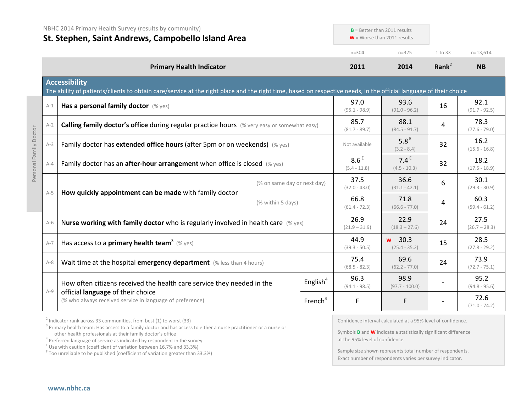|         | NBHC 2014 Primary Health Survey (results by community)<br>St. Stephen, Saint Andrews, Campobello Island Area                                                                              |                   |                             | $B =$ Better than 2011 results<br>$W =$ Worse than 2011 results |                                    |                   |                         |
|---------|-------------------------------------------------------------------------------------------------------------------------------------------------------------------------------------------|-------------------|-----------------------------|-----------------------------------------------------------------|------------------------------------|-------------------|-------------------------|
|         |                                                                                                                                                                                           |                   |                             | $n = 304$                                                       | $n = 325$                          | 1 to 33           | $n=13,614$              |
|         | <b>Primary Health Indicator</b>                                                                                                                                                           |                   |                             | 2011                                                            | 2014                               | Rank <sup>2</sup> | <b>NB</b>               |
|         | <b>Accessibility</b><br>The ability of patients/clients to obtain care/service at the right place and the right time, based on respective needs, in the official language of their choice |                   |                             |                                                                 |                                    |                   |                         |
| $A-1$   | Has a personal family doctor (% yes)                                                                                                                                                      |                   |                             | 97.0<br>$(95.1 - 98.9)$                                         | 93.6<br>$(91.0 - 96.2)$            | 16                | 92.1<br>$(91.7 - 92.5)$ |
| $A-2$   | <b>Calling family doctor's office during regular practice hours</b> (% very easy or somewhat easy)                                                                                        |                   |                             | 85.7<br>$(81.7 - 89.7)$                                         | 88.1<br>$(84.5 - 91.7)$            | 4                 | 78.3<br>$(77.6 - 79.0)$ |
| $A-3$   | Family doctor has extended office hours (after 5pm or on weekends) (% yes)                                                                                                                |                   |                             | Not available                                                   | 5.8 <sup>E</sup><br>$(3.2 - 8.4)$  | 32                | 16.2<br>$(15.6 - 16.8)$ |
| $A - 4$ | Family doctor has an after-hour arrangement when office is closed (% yes)                                                                                                                 |                   |                             | 8.6 <sup>E</sup><br>$(5.4 - 11.8)$                              | 7.4 <sup>E</sup><br>$(4.5 - 10.3)$ | 32                | 18.2<br>$(17.5 - 18.9)$ |
|         |                                                                                                                                                                                           |                   | (% on same day or next day) | 37.5<br>$(32.0 - 43.0)$                                         | 36.6<br>$(31.1 - 42.1)$            | 6                 | 30.1<br>$(29.3 - 30.9)$ |
| $A-5$   | How quickly appointment can be made with family doctor                                                                                                                                    | (% within 5 days) |                             | 66.8<br>$(61.4 - 72.3)$                                         | 71.8<br>$(66.6 - 77.0)$            | 4                 | 60.3<br>$(59.4 - 61.2)$ |
| $A-6$   | Nurse working with family doctor who is regularly involved in health care $(\%$ yes)                                                                                                      |                   |                             | 26.9<br>$(21.9 - 31.9)$                                         | 22.9<br>$(18.3 - 27.6)$            | 24                | 27.5<br>$(26.7 - 28.3)$ |
| $A-7$   | Has access to a <b>primary health team</b> <sup>3</sup> (% yes)                                                                                                                           |                   |                             | 44.9<br>$(39.3 - 50.5)$                                         | w 30.3<br>$(25.4 - 35.2)$          | 15                | 28.5<br>$(27.8 - 29.2)$ |
| $A-8$   | Wait time at the hospital emergency department (% less than 4 hours)                                                                                                                      |                   |                             | 75.4<br>$(68.5 - 82.3)$                                         | 69.6<br>$(62.2 - 77.0)$            | 24                | 73.9<br>$(72.7 - 75.1)$ |
| $A-9$   | How often citizens received the health care service they needed in the                                                                                                                    |                   | English $4$                 | 96.3<br>$(94.1 - 98.5)$                                         | 98.9<br>$(97.7 - 100.0)$           |                   | 95.2<br>$(94.8 - 95.6)$ |
|         | official language of their choice<br>(% who always received service in language of preference)                                                                                            |                   | French <sup>4</sup>         | F                                                               | F                                  |                   | 72.6<br>$(71.0 - 74.2)$ |

 $2$  Indicator rank across 33 communities, from best (1) to worst (33)

<sup>3</sup> Primary health team: Has access to a family doctor and has access to either a nurse practitioner or a nurse or other health professionals at their family doctor's office

 $\frac{1}{2}$  Use with caution (coefficient of variation between 16.7% and 33.3%)

<sup>F</sup> Too unreliable to be published (coefficient of variation greater than 33.3%)

Confidence interval calculated at a 95% level of confidence.

Symbols **B** and **W** indicate a statistically significant difference at the 95% level of confidence.

Sample size shown represents total number of respondents. Exact number of respondents varies per survey indicator.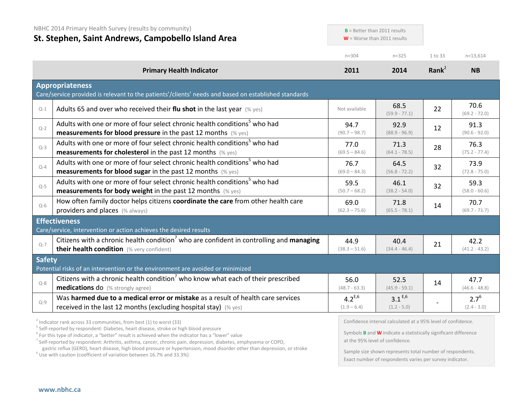|               | NBHC 2014 Primary Health Survey (results by community)<br>$B =$ Better than 2011 results<br>St. Stephen, Saint Andrews, Campobello Island Area<br>$W =$ Worse than 2011 results                                       |                              |                              |                   |                            |
|---------------|-----------------------------------------------------------------------------------------------------------------------------------------------------------------------------------------------------------------------|------------------------------|------------------------------|-------------------|----------------------------|
|               |                                                                                                                                                                                                                       | $n = 304$                    | $n = 325$                    | 1 to 33           | $n=13,614$                 |
|               | <b>Primary Health Indicator</b>                                                                                                                                                                                       | 2011                         | 2014                         | Rank <sup>2</sup> | <b>NB</b>                  |
|               | <b>Appropriateness</b><br>Care/service provided is relevant to the patients'/clients' needs and based on established standards                                                                                        |                              |                              |                   |                            |
| $Q-1$         | Adults 65 and over who received their flu shot in the last year $(\%$ yes)                                                                                                                                            | Not available                | 68.5<br>$(59.9 - 77.1)$      | 22                | 70.6<br>$(69.2 - 72.0)$    |
| $Q-2$         | Adults with one or more of four select chronic health conditions <sup>5</sup> who had<br><b>measurements for blood pressure</b> in the past 12 months $(\%$ yes)                                                      | 94.7<br>$(90.7 - 98.7)$      | 92.9<br>$(88.9 - 96.9)$      | 12                | 91.3<br>$(90.6 - 92.0)$    |
| $Q-3$         | Adults with one or more of four select chronic health conditions <sup>5</sup> who had<br><b>measurements for cholesterol</b> in the past 12 months (% yes)                                                            | 77.0<br>$(69.5 - 84.6)$      | 71.3<br>$(64.1 - 78.5)$      | 28                | 76.3<br>$(75.2 - 77.4)$    |
| $Q-4$         | Adults with one or more of four select chronic health conditions <sup>5</sup> who had<br><b>measurements for blood sugar</b> in the past 12 months (% yes)                                                            | 76.7<br>$(69.0 - 84.3)$      | 64.5<br>$(56.8 - 72.2)$      | 32                | 73.9<br>$(72.8 - 75.0)$    |
| $Q-5$         | Adults with one or more of four select chronic health conditions <sup>5</sup> who had<br><b>measurements for body weight</b> in the past 12 months (% yes)                                                            | 59.5<br>$(50.7 - 68.2)$      | 46.1<br>$(38.2 - 54.0)$      | 32                | 59.3<br>$(58.0 - 60.6)$    |
| $O-6$         | How often family doctor helps citizens coordinate the care from other health care<br>providers and places (% always)                                                                                                  | 69.0<br>$(62.3 - 75.6)$      | 71.8<br>$(65.5 - 78.1)$      | 14                | 70.7<br>$(69.7 - 71.7)$    |
|               | <b>Effectiveness</b>                                                                                                                                                                                                  |                              |                              |                   |                            |
| $Q - 7$       | Care/service, intervention or action achieves the desired results<br>Citizens with a chronic health condition <sup>7</sup> who are confident in controlling and managing<br>their health condition (% very confident) | 44.9<br>$(38.3 - 51.6)$      | 40.4<br>$(34.4 - 46.4)$      | 21                | 42.2<br>$(41.2 - 43.2)$    |
| <b>Safety</b> | Potential risks of an intervention or the environment are avoided or minimized                                                                                                                                        |                              |                              |                   |                            |
| $O-8$         | Citizens with a chronic health condition who know what each of their prescribed<br><b>medications do</b> (% strongly agree)                                                                                           | 56.0<br>$(48.7 - 63.3)$      | 52.5<br>$(45.9 - 59.1)$      | 14                | 47.7<br>$(46.6 - 48.8)$    |
| $Q-9$         | Was harmed due to a medical error or mistake as a result of health care services<br>received in the last 12 months (excluding hospital stay) $(\%$ yes)                                                               | $4.2^{E,6}$<br>$(1.9 - 6.4)$ | $3.1^{E,6}$<br>$(1.2 - 5.0)$ |                   | $2.7^{6}$<br>$(2.4 - 3.0)$ |
|               |                                                                                                                                                                                                                       |                              |                              |                   |                            |

<sup>2</sup> Indicator rank across 33 communities, from best (1) to worst (33)<br><sup>5</sup> Self-reported by respondent: Diabetes, heart disease, stroke or high blood pressure

<sup>6</sup> For this type of indicator, a "better" result is achieved when the indicator has a "lower" value

<sup>7</sup> Self-reported by respondent: Arthritis, asthma, cancer, chronic pain, depression, diabetes, emphysema or COPD, gastric reflux (GERD), heart disease, high blood pressure or hypertension, mood disorder other than depression, or stroke E Use with caution (coefficient of variation between 16.7% and 33.3%)

Confidence interval calculated at a 95% level of confidence.

Symbols **B** and **W** indicate a statistically significant difference at the 95% level of confidence.

Sample size shown represents total number of respondents. Exact number of respondents varies per survey indicator.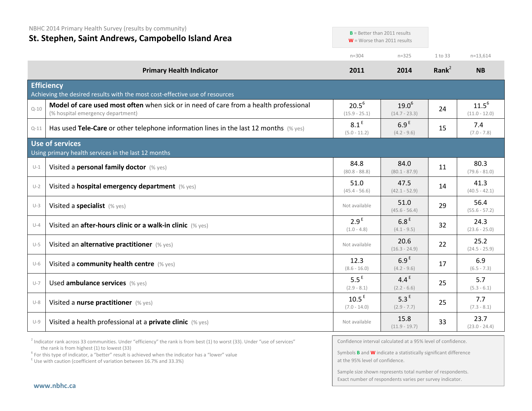|          | NBHC 2014 Primary Health Survey (results by community)                                                                     |                                     | $B =$ Better than 2011 results    |           |                               |
|----------|----------------------------------------------------------------------------------------------------------------------------|-------------------------------------|-----------------------------------|-----------|-------------------------------|
|          | St. Stephen, Saint Andrews, Campobello Island Area                                                                         |                                     | $W =$ Worse than 2011 results     |           |                               |
|          |                                                                                                                            | $n = 304$                           | $n = 325$                         | 1 to 33   | $n = 13,614$                  |
|          | <b>Primary Health Indicator</b>                                                                                            | 2011                                | 2014                              | Rank $^2$ | <b>NB</b>                     |
|          | <b>Efficiency</b><br>Achieving the desired results with the most cost-effective use of resources                           |                                     |                                   |           |                               |
| $Q - 10$ | Model of care used most often when sick or in need of care from a health professional<br>(% hospital emergency department) | $20.5^6$<br>$(15.9 - 25.1)$         | $19.0^{6}$<br>$(14.7 - 23.3)$     | 24        | $11.5^{6}$<br>$(11.0 - 12.0)$ |
| $Q - 11$ | Has used Tele-Care or other telephone information lines in the last 12 months $(\%$ yes)                                   | 8.1 <sup>E</sup><br>$(5.0 - 11.2)$  | 6.9 <sup>E</sup><br>$(4.2 - 9.6)$ | 15        | 7.4<br>$(7.0 - 7.8)$          |
|          | <b>Use of services</b><br>Using primary health services in the last 12 months                                              |                                     |                                   |           |                               |
| $U-1$    | Visited a personal family doctor (% yes)                                                                                   | 84.8<br>$(80.8 - 88.8)$             | 84.0<br>$(80.1 - 87.9)$           | 11        | 80.3<br>$(79.6 - 81.0)$       |
| $U-2$    | Visited a hospital emergency department (% yes)                                                                            | 51.0<br>$(45.4 - 56.6)$             | 47.5<br>$(42.1 - 52.9)$           | 14        | 41.3<br>$(40.5 - 42.1)$       |
| $U-3$    | Visited a specialist (% yes)                                                                                               | Not available                       | 51.0<br>$(45.6 - 56.4)$           | 29        | 56.4<br>$(55.6 - 57.2)$       |
| $U-4$    | Visited an after-hours clinic or a walk-in clinic (% yes)                                                                  | 2.9 <sup>E</sup><br>$(1.0 - 4.8)$   | 6.8 <sup>E</sup><br>$(4.1 - 9.5)$ | 32        | 24.3<br>$(23.6 - 25.0)$       |
| $U-5$    | Visited an alternative practitioner (% yes)                                                                                | Not available                       | 20.6<br>$(16.3 - 24.9)$           | 22        | 25.2<br>$(24.5 - 25.9)$       |
| $U-6$    | Visited a community health centre (% yes)                                                                                  | 12.3<br>$(8.6 - 16.0)$              | 6.9 <sup>E</sup><br>$(4.2 - 9.6)$ | 17        | 6.9<br>$(6.5 - 7.3)$          |
| $U-7$    | Used ambulance services (% yes)                                                                                            | $5.5^E$<br>$(2.9 - 8.1)$            | 4.4 $E$<br>$(2.2 - 6.6)$          | 25        | 5.7<br>$(5.3 - 6.1)$          |
| $U-8$    | Visited a nurse practitioner (% yes)                                                                                       | 10.5 <sup>E</sup><br>$(7.0 - 14.0)$ | 5.3 <sup>E</sup><br>$(2.9 - 7.7)$ | 25        | 7.7<br>$(7.3 - 8.1)$          |
| $U-9$    | Visited a health professional at a private clinic (% yes)                                                                  | Not available                       | 15.8<br>$(11.9 - 19.7)$           | 33        | 23.7<br>$(23.0 - 24.4)$       |

 $2$  Indicator rank across 33 communities. Under "efficiency" the rank is from best (1) to worst (33). Under "use of services" the rank is from highest (1) to lowest (33)

<sup>6</sup> For this type of indicator, a "better" result is achieved when the indicator has a "lower" value  $E$ <sup>E</sup> Use with caution (coefficient of variation between 16.7% and 33.3%)

Confidence interval calculated at a 95% level of confidence.

Symbols **B** and **W** indicate a statistically significant difference at the 95% level of confidence.

Sample size shown represents total number of respondents. Exact number of respondents varies per survey indicator.